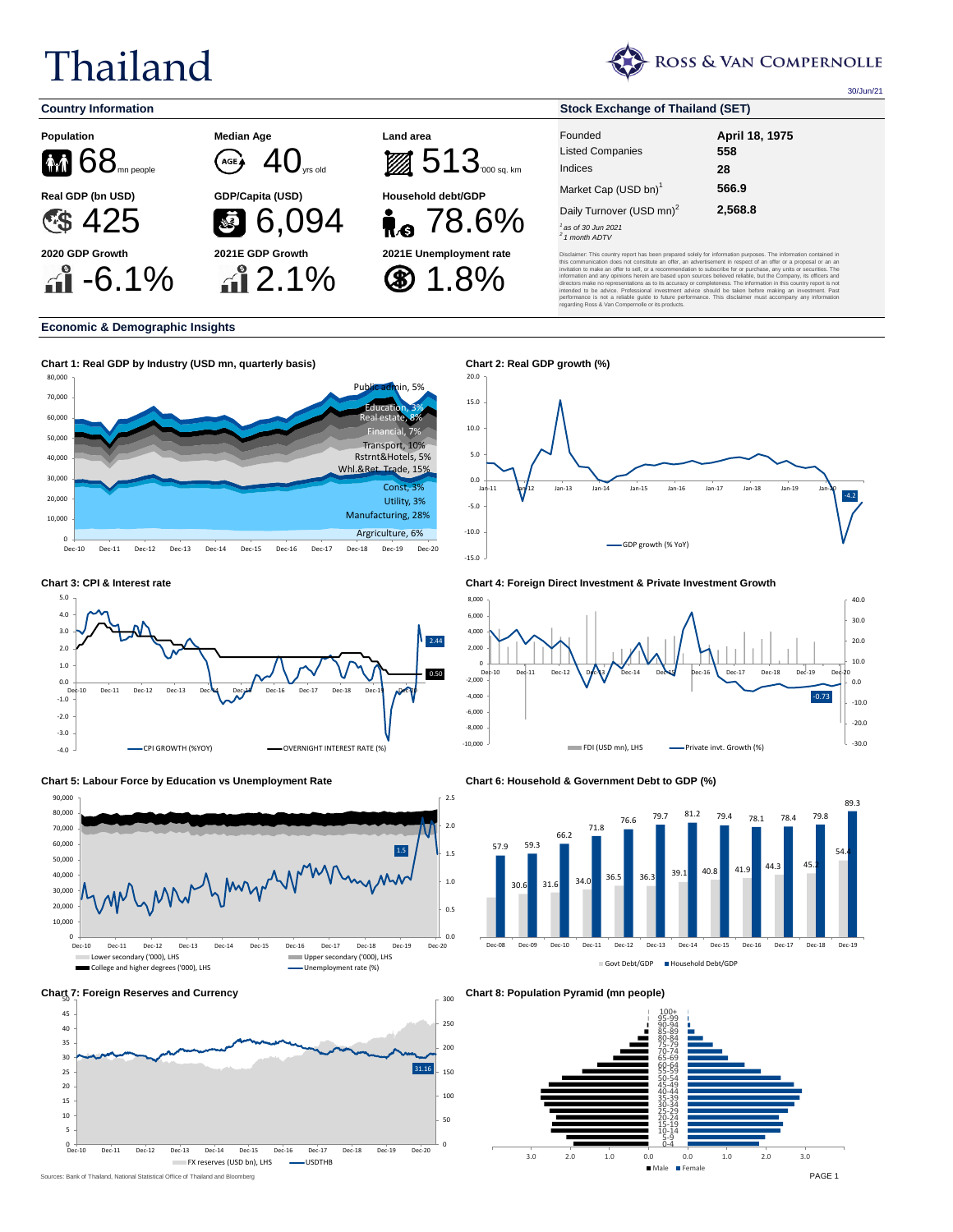## Thailand



30/Jun/21





20.0

## **Economic & Demographic Insights**



















**Chart 8: Population Pyramid (mn people)**